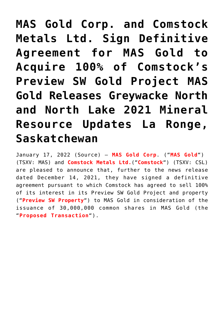**[MAS Gold Corp. and Comstock](https://investorintel.com/markets/gold-silver-base-metals/gold-precious-metals-news/mas-gold-corp-and-comstock-metals-ltd-sign-definitive-agreement-for-mas-gold-to-acquire-100-of-comstocks-preview-sw-gold-project-mas-gold-releases-greywacke-north-and-north-lake-2021-mineral-resou/) [Metals Ltd. Sign Definitive](https://investorintel.com/markets/gold-silver-base-metals/gold-precious-metals-news/mas-gold-corp-and-comstock-metals-ltd-sign-definitive-agreement-for-mas-gold-to-acquire-100-of-comstocks-preview-sw-gold-project-mas-gold-releases-greywacke-north-and-north-lake-2021-mineral-resou/) [Agreement for MAS Gold to](https://investorintel.com/markets/gold-silver-base-metals/gold-precious-metals-news/mas-gold-corp-and-comstock-metals-ltd-sign-definitive-agreement-for-mas-gold-to-acquire-100-of-comstocks-preview-sw-gold-project-mas-gold-releases-greywacke-north-and-north-lake-2021-mineral-resou/) [Acquire 100% of Comstock's](https://investorintel.com/markets/gold-silver-base-metals/gold-precious-metals-news/mas-gold-corp-and-comstock-metals-ltd-sign-definitive-agreement-for-mas-gold-to-acquire-100-of-comstocks-preview-sw-gold-project-mas-gold-releases-greywacke-north-and-north-lake-2021-mineral-resou/) [Preview SW Gold Project MAS](https://investorintel.com/markets/gold-silver-base-metals/gold-precious-metals-news/mas-gold-corp-and-comstock-metals-ltd-sign-definitive-agreement-for-mas-gold-to-acquire-100-of-comstocks-preview-sw-gold-project-mas-gold-releases-greywacke-north-and-north-lake-2021-mineral-resou/) [Gold Releases Greywacke North](https://investorintel.com/markets/gold-silver-base-metals/gold-precious-metals-news/mas-gold-corp-and-comstock-metals-ltd-sign-definitive-agreement-for-mas-gold-to-acquire-100-of-comstocks-preview-sw-gold-project-mas-gold-releases-greywacke-north-and-north-lake-2021-mineral-resou/) [and North Lake 2021 Mineral](https://investorintel.com/markets/gold-silver-base-metals/gold-precious-metals-news/mas-gold-corp-and-comstock-metals-ltd-sign-definitive-agreement-for-mas-gold-to-acquire-100-of-comstocks-preview-sw-gold-project-mas-gold-releases-greywacke-north-and-north-lake-2021-mineral-resou/) [Resource Updates La Ronge,](https://investorintel.com/markets/gold-silver-base-metals/gold-precious-metals-news/mas-gold-corp-and-comstock-metals-ltd-sign-definitive-agreement-for-mas-gold-to-acquire-100-of-comstocks-preview-sw-gold-project-mas-gold-releases-greywacke-north-and-north-lake-2021-mineral-resou/) [Saskatchewan](https://investorintel.com/markets/gold-silver-base-metals/gold-precious-metals-news/mas-gold-corp-and-comstock-metals-ltd-sign-definitive-agreement-for-mas-gold-to-acquire-100-of-comstocks-preview-sw-gold-project-mas-gold-releases-greywacke-north-and-north-lake-2021-mineral-resou/)**

January 17, 2022 ([Source\)](https://www.newswire.ca/news-releases/mas-gold-corp-and-comstock-metals-ltd-sign-definitive-agreement-for-mas-gold-to-acquire-100-of-comstock-s-preview-sw-gold-project-mas-gold-releases-greywacke-north-and-north-lake-2021-mineral-resource-updates-la-ronge-saskatchewan-863777087.html) — **MAS Gold Corp**. ("**MAS Gold**") (TSXV: [MAS](https://www.newswire.ca/news-releases/mas-gold-corp-and-comstock-metals-ltd-sign-definitive-agreement-for-mas-gold-to-acquire-100-of-comstock-s-preview-sw-gold-project-mas-gold-releases-greywacke-north-and-north-lake-2021-mineral-resource-updates-la-ronge-saskatchewan-863777087.html#financial-modal)) and **Comstock Metals Ltd.**("**Comstock**") (TSXV: [CSL\)](https://www.newswire.ca/news-releases/mas-gold-corp-and-comstock-metals-ltd-sign-definitive-agreement-for-mas-gold-to-acquire-100-of-comstock-s-preview-sw-gold-project-mas-gold-releases-greywacke-north-and-north-lake-2021-mineral-resource-updates-la-ronge-saskatchewan-863777087.html#financial-modal) are pleased to announce that, further to the news release dated December 14, 2021, they have signed a definitive agreement pursuant to which Comstock has agreed to sell 100% of its interest in its Preview SW Gold Project and property ("**Preview SW Property**") to MAS Gold in consideration of the issuance of 30,000,000 common shares in MAS Gold (the "**Proposed Transaction**").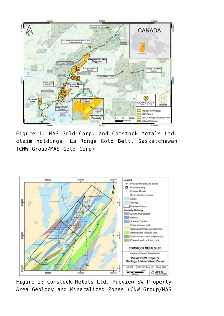

Figure 1: MAS Gold Corp. and Comstock Metals Ltd. claim holdings, La Ronge Gold Belt, Saskatchewan (CNW Group/MAS Gold Corp)



Figure 2: Comstock Metals Ltd. Preview SW Property Area Geology and Mineralized Zones (CNW Group/MAS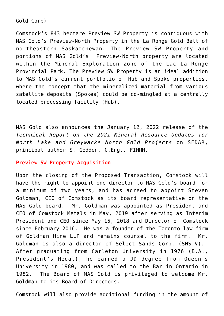Gold Corp)

Comstock's 843 hectare Preview SW Property is contiguous with MAS Gold's Preview-North Property in the La Ronge Gold Belt of northeastern Saskatchewan. The Preview SW Property and portions of MAS Gold's Preview-North property are located within the Mineral Exploration Zone of the Lac La Ronge Provincial Park. The Preview SW Property is an ideal addition to MAS Gold's current portfolio of Hub and Spoke properties, where the concept that the mineralized material from various satellite deposits (Spokes) could be co-mingled at a centrally located processing facility (Hub).

MAS Gold also announces the January 12, 2022 release of the *Technical Report on the 2021 Mineral Resource Updates for North Lake and Greywacke North Gold Projects* on SEDAR, principal author S. Godden, C.Eng., FIMMM.

# **Preview SW Property Acquisition**

Upon the closing of the Proposed Transaction, Comstock will have the right to appoint one director to MAS Gold's board for a minimum of two years, and has agreed to appoint Steven Goldman, CEO of Comstock as its board representative on the MAS Gold board. Mr. Goldman was appointed as President and CEO of Comstock Metals in May, 2019 after serving as Interim President and CEO since May 15, 2018 and Director of Comstock since February 2016. He was a founder of the Toronto law firm of Goldman Hine LLP and remains counsel to the firm. Mr. Goldman is also a director of Select Sands Corp. (SNS.V). After graduating from Carleton University in 1976 (B.A., President's Medal), he earned a JD degree from Queen's University in 1980, and was called to the Bar in Ontario in 1982. The Board of MAS Gold is privileged to welcome Mr. Goldman to its Board of Directors.

Comstock will also provide additional funding in the amount of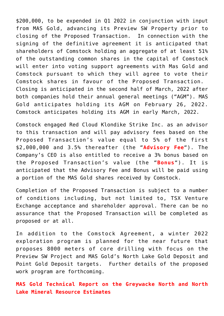\$200,000, to be expended in Q1 2022 in conjunction with input from MAS Gold, advancing its Preview SW Property prior to closing of the Proposed Transaction. In connection with the signing of the definitive agreement it is anticipated that shareholders of Comstock holding an aggregate of at least 51% of the outstanding common shares in the capital of Comstock will enter into voting support agreements with Mas Gold and Comstock pursuant to which they will agree to vote their Comstock shares in favour of the Proposed Transaction. Closing is anticipated in the second half of March, 2022 after both companies hold their annual general meetings ("AGM"). MAS Gold anticipates holding its AGM on February 26, 2022. Comstock anticipates holding its AGM in early March, 2022.

Comstock engaged Red Cloud Klondike Strike Inc. as an advisor to this transaction and will pay advisory fees based on the Proposed Transaction's value equal to 5% of the first \$2,000,000 and 3.5% thereafter (the "**Advisory Fee**"). The Company's CEO is also entitled to receive a 3% bonus based on the Proposed Transaction's value (the "**Bonus**"). It is anticipated that the Advisory Fee and Bonus will be paid using a portion of the MAS Gold shares received by Comstock.

Completion of the Proposed Transaction is subject to a number of conditions including, but not limited to, TSX Venture Exchange acceptance and shareholder approval. There can be no assurance that the Proposed Transaction will be completed as proposed or at all.

In addition to the Comstock Agreement, a winter 2022 exploration program is planned for the near future that proposes 8000 meters of core drilling with focus on the Preview SW Project and MAS Gold's North Lake Gold Deposit and Point Gold Deposit targets. Further details of the proposed work program are forthcoming.

**MAS Gold Technical Report on the Greywacke North and North Lake Mineral Resource Estimates**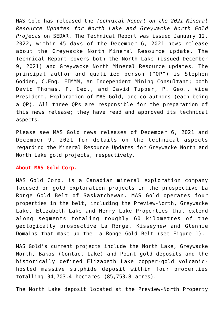MAS Gold has released the *Technical Report on the 2021 Mineral Resource Updates for North Lake and Greywacke North Gold Projects* on SEDAR. The Technical Report was issued January 12, 2022, within 45 days of the December 6, 2021 news release about the Greywacke North Mineral Resource update. The Technical Report covers both the North Lake (issued December 9, 2021) and Greywacke North Mineral Resource updates. The principal author and qualified person ("QP") is Stephen Godden, C.Eng. FIMMM, an Independent Mining Consultant; both David Thomas, P. Geo., and David Tupper, P. Geo., Vice President, Exploration of MAS Gold, are co-authors (each being a QP). All three QPs are responsible for the preparation of this news release; they have read and approved its technical aspects.

Please see MAS Gold news releases of December 6, 2021 and December 9, 2021 for details on the technical aspects regarding the Mineral Resource Updates for Greywacke North and North Lake gold projects, respectively.

#### **About MAS Gold Corp.**

MAS Gold Corp. is a Canadian mineral exploration company focused on gold exploration projects in the prospective La Ronge Gold Belt of Saskatchewan. MAS Gold operates four properties in the belt, including the Preview-North, Greywacke Lake, Elizabeth Lake and Henry Lake Properties that extend along segments totaling roughly 60 kilometres of the geologically prospective La Ronge, Kisseynew and Glennie Domains that make up the La Ronge Gold Belt (see Figure 1).

MAS Gold's current projects include the North Lake, Greywacke North, Bakos (Contact Lake) and Point gold deposits and the historically defined Elizabeth Lake copper-gold volcanichosted massive sulphide deposit within four properties totalling 34,703.4 hectares (85,753.8 acres).

The North Lake deposit located at the Preview-North Property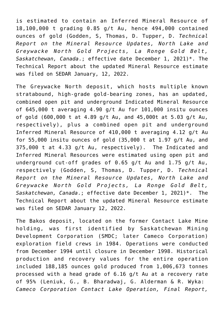is estimated to contain an Inferred Mineral Resource of 18,100,000 t grading 0.85 g/t Au, hence 494,000 contained ounces of gold (Godden, S, Thomas, D. Tupper, D. *Technical Report on the Mineral Resource Updates, North Lake and Greywacke North Gold Projects, La Ronge Gold Belt, Saskatchewan, Canada*.; effective date December 1, 2021)\*. The Technical Report about the updated Mineral Resource estimate was filed on SEDAR January, 12, 2022.

The Greywacke North deposit, which hosts multiple known stratabound, high-grade gold-bearing zones, has an updated, combined open pit and underground Indicated Mineral Resource of 645,000 t averaging 4.90 g/t Au for 101,000 insitu ounces of gold (600,000 t at 4.89 g/t Au, and 45,000t at 5.03 g/t Au, respectively), plus a combined open pit and underground Inferred Mineral Resource of 410,000 t averaging 4.12 g/t Au for 55,000 insitu ounces of gold (35,000 t at 1.97 g/t Au, and 375,000 t at 4.33 g/t Au, respectively). The Indicated and Inferred Mineral Resources were estimated using open pit and underground cut-off grades of 0.65 g/t Au and 1.75 g/t Au, respectively (Godden, S, Thomas, D. Tupper, D. *Technical Report on the Mineral Resource Updates, North Lake and Greywacke North Gold Projects, La Ronge Gold Belt, Saskatchewan, Canada*.; effective date December 1, 2021)\*. The Technical Report about the updated Mineral Resource estimate was filed on SEDAR January 12, 2022.

The Bakos deposit, located on the former Contact Lake Mine holding, was first identified by Saskatchewan Mining Development Corporation (SMDC; later Cameco Corporation) exploration field crews in 1984. Operations were conducted from December 1994 until closure in December 1998. Historical production and recovery values for the entire operation included 188,185 ounces gold produced from 1,006,673 tonnes processed with a head grade of 6.16 g/t Au at a recovery rate of 95% (Leniuk, G., B. Bharadwaj, G. Alderman & R. Wyka: *Cameco Corporation Contact Lake Operation, Final Report,*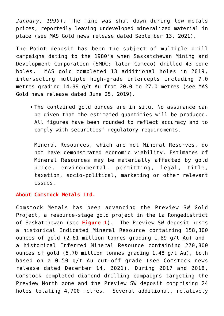*January, 1999*). The mine was shut down during low metals prices, reportedly leaving undeveloped mineralized material in place (see MAS Gold news release dated September 13, 2021).

The Point deposit has been the subject of multiple drill campaigns dating to the 1980's when Saskatchewan Mining and Development Corporation (SMDC; later Cameco) drilled 43 core holes. MAS gold completed 13 additional holes in 2019, intersecting multiple high-grade intercepts including 7.0 metres grading 14.99 g/t Au from 20.0 to 27.0 metres (see MAS Gold news release dated June 25, 2019).

The contained gold ounces are in situ. No assurance can be given that the estimated quantities will be produced. All figures have been rounded to reflect accuracy and to comply with securities' regulatory requirements.

Mineral Resources, which are not Mineral Reserves, do not have demonstrated economic viability. Estimates of Mineral Resources may be materially affected by gold price, environmental, permitting, legal, title, taxation, socio-political, marketing or other relevant issues.

## **About Comstock Metals Ltd.**

Comstock Metals has been advancing the Preview SW Gold Project, a resource-stage gold project in the La Rongedistrict of Saskatchewan (see **Figure 1**). The Preview SW deposit hosts a historical Indicated Mineral Resource containing 158,300 ounces of gold (2.61 million tonnes grading 1.89 g/t Au) and a historical Inferred Mineral Resource containing 270,800 ounces of gold (5.70 million tonnes grading 1.48 g/t Au), both based on a 0.50 g/t Au cut-off grade (see Comstock news release dated December 14, 2021). During 2017 and 2018, Comstock completed diamond drilling campaigns targeting the Preview North zone and the Preview SW deposit comprising 24 holes totaling 4,700 metres. Several additional, relatively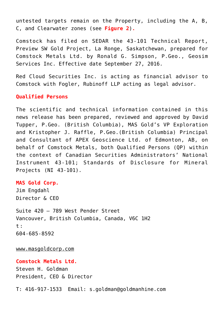untested targets remain on the Property, including the A, B, C, and Clearwater zones (see **Figure 2**)**.**

Comstock has filed on SEDAR the 43-101 Technical Report, Preview SW Gold Project, La Ronge, Saskatchewan, prepared for Comstock Metals Ltd. by Ronald G. Simpson, P.Geo., Geosim Services Inc. Effective date September 27, 2016.

Red Cloud Securities Inc. is acting as financial advisor to Comstock with Fogler, Rubinoff LLP acting as legal advisor.

#### **Qualified Persons**

The scientific and technical information contained in this news release has been prepared, reviewed and approved by David Tupper, P.Geo. (British Columbia), MAS Gold's VP Exploration and Kristopher J. Raffle, P.Geo.(British Columbia) Principal and Consultant of APEX Geoscience Ltd. of Edmonton, AB, on behalf of Comstock Metals, both Qualified Persons (QP) within the context of Canadian Securities Administrators' National Instrument 43-101; Standards of Disclosure for Mineral Projects (NI 43-101).

#### **MAS Gold Corp.**

Jim Engdahl Director & CEO

Suite 420 – 789 West Pender Street Vancouver, British Columbia, Canada, V6C 1H2 t : 604-685-8592

[www.masgoldcorp.com](https://c212.net/c/link/?t=0&l=en&o=3414389-1&h=2445310830&u=https%3A%2F%2Fwww.masgoldcorp.com%2F&a=www.masgoldcorp.com%C2%A0)

**Comstock Metals Ltd.** Steven H. Goldman President, CEO & Director

T: 416-917-1533 Email: [s.goldman@goldmanhine.com](mailto:s.goldman@goldmanhine.com)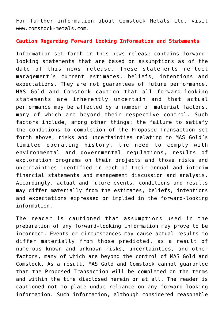For further information about Comstock Metals Ltd. visit [www.comstock-metals.com](http://www.comstock-metals.com/).

## **Caution Regarding Forward Looking Information and Statements**

Information set forth in this news release contains forwardlooking statements that are based on assumptions as of the date of this news release. These statements reflect management's current estimates, beliefs, intentions and expectations. They are not guarantees of future performance. MAS Gold and Comstock caution that all forward-looking statements are inherently uncertain and that actual performance may be affected by a number of material factors, many of which are beyond their respective control. Such factors include, among other things: the failure to satisfy the conditions to completion of the Proposed Transaction set forth above, risks and uncertainties relating to MAS Gold's limited operating history, the need to comply with environmental and governmental regulations, results of exploration programs on their projects and those risks and uncertainties identified in each of their annual and interim financial statements and management discussion and analysis. Accordingly, actual and future events, conditions and results may differ materially from the estimates, beliefs, intentions and expectations expressed or implied in the forward-looking information.

The reader is cautioned that assumptions used in the preparation of any forward-looking information may prove to be incorrect. Events or circumstances may cause actual results to differ materially from those predicted, as a result of numerous known and unknown risks, uncertainties, and other factors, many of which are beyond the control of MAS Gold and Comstock. As a result, MAS Gold and Comstock cannot guarantee that the Proposed Transaction will be completed on the terms and within the time disclosed herein or at all. The reader is cautioned not to place undue reliance on any forward-looking information. Such information, although considered reasonable